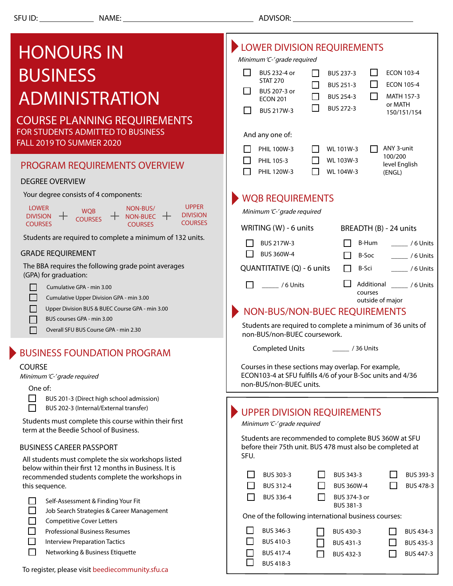## **DELOWER DIVISION REQUIREMENTS** HONOURS IN Minimum 'C-' grade required **BUSINESS** П BUS 232-4 or BUS 237-3 П ECON 103-4 П STAT 270 П ECON 105-4 П BUS 251-3 П BUS 207-3 or ADMINISTRATION П BUS 254-3 П MATH 157-3 ECON 201 or MATH  $\Box$ BUS 272-3 П BUS 217W-3 150/151/154 COURSE PLANNING REQUIREMENTS FOR STUDENTS ADMITTED TO BUSINESS And any one of: FALL 2019 TO SUMMER 2020  $\Box$  PHIL 100W-3  $\Box$  WL 101W-3 ANY 3-unit 100/200  $\n$ PHIL 105-3 WL 103W-3 PROGRAM REQUIREMENTS OVERVIEW level English  $\Box$  PHIL 120W-3 WL 104W-3 (ENGL) DEGREE OVERVIEW Your degree consists of 4 components: WQB REQUIREMENTS UPPER **LOWER** NON-BUS/ WO<sub>B</sub> Minimum 'C-' grade required **DIVISION**  $DIVISION +$ NON-BUEC -**COURSES COURSES COURSES COURSES** WRITING (W) - 6 units BREADTH (B) - 24 units Students are required to complete a minimum of 132 units.  $\Box$  BUS 217W-3 **B-Hum** \_\_\_\_\_\_\_ / 6 Units GRADE REQUIREMENT  $\Box$  BUS 360W-4 B-Soc \_\_\_\_\_ / 6 Units The BBA requires the following grade point averages B-Sci \_\_\_\_\_ / 6 Units QUANTITATIVE (Q) - 6 units (GPA) for graduation:  $\Box$  / 6 Units Additional \_\_\_\_\_ / 6 Units П Cumulative GPA - min 3.00 courses  $\Box$ Cumulative Upper Division GPA - min 3.00 outside of major П Upper Division BUS & BUEC Course GPA - min 3.00 NON-BUS/NON-BUEC REQUIREMENTS П BUS courses GPA - min 3.00Students are required to complete a minimum of 36 units of  $\Box$ Overall SFU BUS Course GPA - min 2.30 non-BUS/non-BUEC coursework. \_\_\_\_\_ / 36 Units Completed Units BUSINESS FOUNDATION PROGRAM Courses in these sections may overlap. For example, COURSE ECON103-4 at SFU fulfills 4/6 of your B-Soc units and 4/36 Minimum 'C-' grade required non-BUS/non-BUEC units. One of:  $\Box$ BUS 201-3 (Direct high school admission) П BUS 202-3 (Internal/External transfer) UPPER DIVISION REQUIREMENTS Students must complete this course within their first Minimum 'C-' grade required term at the Beedie School of Business. Students are recommended to complete BUS 360W at SFU BUSINESS CAREER PASSPORT before their 75th unit. BUS 478 must also be completed at SFU. All students must complete the six workshops listed below within their first 12 months in Business. It is  $\Box$  BUS 303-3  $\Box$ BUS 343-3 П BUS 393-3 recommended students complete the workshops in this sequence.  $\Box$  BUS 312-4  $\Box$  BUS 360W-4 П BUS 478-3  $\Box$  BUS 336-4 П BUS 374-3 or  $\Box$ Self-Assessment & Finding Your Fit BUS 381-3 П Job Search Strategies & Career Management One of the following international business courses: П Competitive Cover Letters BUS 346-3 П П Professional Business Resumes BUS 430-3  $\Box$ BUS 434-3 П Interview Preparation Tactics п BUS 410-3 □ BUS 431-3  $\Box$ BUS 435-3 П Networking & Business Etiquette BUS 417-4 П BUS 447-3  $\Box$  BUS 432-3

BUS 418-3

To register, please visit beediecommunity.sfu.ca